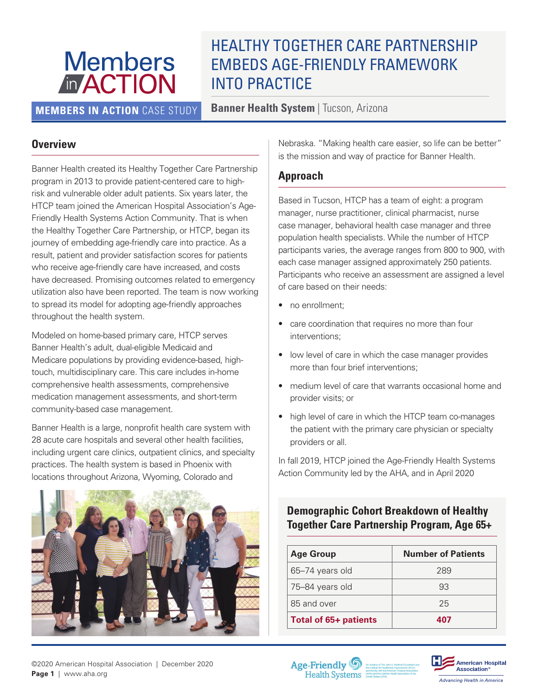# **Members MACTION**

# HEALTHY TOGETHER CARE PARTNERSHIP EMBEDS AGE-FRIENDLY FRAMEWORK INTO PRACTICE

**MEMBERS IN ACTION** CASE STUDY **Banner Health System** | Tucson, Arizona

#### **Overview**

Banner Health created its Healthy Together Care Partnership program in 2013 to provide patient-centered care to highrisk and vulnerable older adult patients. Six years later, the HTCP team joined the American Hospital Association's Age-Friendly Health Systems Action Community. That is when the Healthy Together Care Partnership, or HTCP, began its journey of embedding age-friendly care into practice. As a result, patient and provider satisfaction scores for patients who receive age-friendly care have increased, and costs have decreased. Promising outcomes related to emergency utilization also have been reported. The team is now working to spread its model for adopting age-friendly approaches throughout the health system.

Modeled on home-based primary care, HTCP serves Banner Health's adult, dual-eligible Medicaid and Medicare populations by providing evidence-based, hightouch, multidisciplinary care. This care includes in-home comprehensive health assessments, comprehensive medication management assessments, and short-term community-based case management.

Banner Health is a large, nonprofit health care system with 28 acute care hospitals and several other health facilities, including urgent care clinics, outpatient clinics, and specialty practices. The health system is based in Phoenix with locations throughout Arizona, Wyoming, Colorado and



Nebraska. "Making health care easier, so life can be better" is the mission and way of practice for Banner Health.

#### **Approach**

Based in Tucson, HTCP has a team of eight: a program manager, nurse practitioner, clinical pharmacist, nurse case manager, behavioral health case manager and three population health specialists. While the number of HTCP participants varies, the average ranges from 800 to 900, with each case manager assigned approximately 250 patients. Participants who receive an assessment are assigned a level of care based on their needs:

- no enrollment;
- care coordination that requires no more than four interventions;
- low level of care in which the case manager provides more than four brief interventions;
- medium level of care that warrants occasional home and provider visits; or
- high level of care in which the HTCP team co-manages the patient with the primary care physician or specialty providers or all.

In fall 2019, HTCP joined the Age-Friendly Health Systems Action Community led by the AHA, and in April 2020

# **Demographic Cohort Breakdown of Healthy Together Care Partnership Program, Age 65+**

| <b>Age Group</b>      | <b>Number of Patients</b> |
|-----------------------|---------------------------|
| 65-74 years old       | 289                       |
| 75-84 years old       | 93                        |
| 85 and over           | 25                        |
| Total of 65+ patients | 407                       |



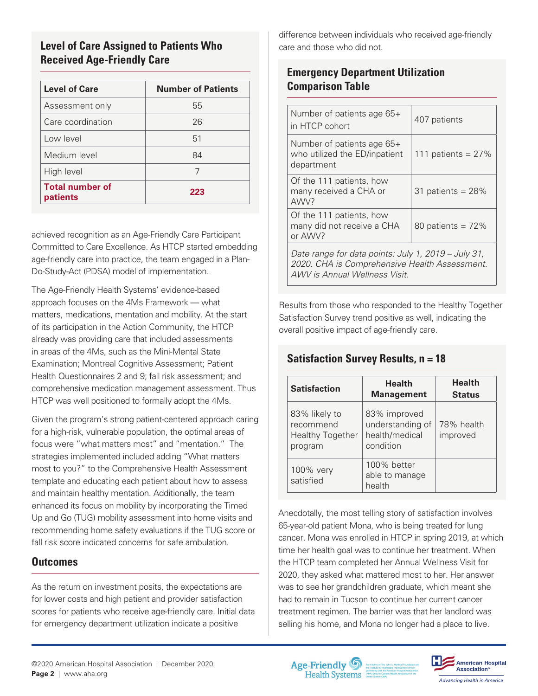#### **Level of Care Assigned to Patients Who care and those who did not. Received Age-Friendly Care**

| <b>Level of Care</b>               | <b>Number of Patients</b> |
|------------------------------------|---------------------------|
| Assessment only                    | 55                        |
| Care coordination                  | 26                        |
| Low level                          | 51                        |
| Medium level                       | 84                        |
| High level                         | 7                         |
| <b>Total number of</b><br>patients | 223                       |

achieved recognition as an Age-Friendly Care Participant Committed to Care Excellence. As HTCP started embedding age-friendly care into practice, the team engaged in a Plan-Do-Study-Act (PDSA) model of implementation.

The Age-Friendly Health Systems' evidence-based approach focuses on the 4Ms Framework — what matters, medications, mentation and mobility. At the start of its participation in the Action Community, the HTCP already was providing care that included assessments in areas of the 4Ms, such as the Mini-Mental State Examination; Montreal Cognitive Assessment; Patient Health Questionnaires 2 and 9; fall risk assessment; and comprehensive medication management assessment. Thus HTCP was well positioned to formally adopt the 4Ms.

Given the program's strong patient-centered approach caring for a high-risk, vulnerable population, the optimal areas of focus were "what matters most" and "mentation." The strategies implemented included adding "What matters most to you?" to the Comprehensive Health Assessment template and educating each patient about how to assess and maintain healthy mentation. Additionally, the team enhanced its focus on mobility by incorporating the Timed Up and Go (TUG) mobility assessment into home visits and recommending home safety evaluations if the TUG score or fall risk score indicated concerns for safe ambulation.

#### **Outcomes**

As the return on investment posits, the expectations are for lower costs and high patient and provider satisfaction scores for patients who receive age-friendly care. Initial data for emergency department utilization indicate a positive

difference between individuals who received age-friendly

# **Emergency Department Utilization Comparison Table**

| Number of patients age 65+<br>in HTCP cohort                                                                                          | 407 patients         |  |
|---------------------------------------------------------------------------------------------------------------------------------------|----------------------|--|
| Number of patients age 65+<br>who utilized the ED/inpatient<br>department                                                             | 111 patients = $27%$ |  |
| Of the 111 patients, how<br>many received a CHA or<br>AWV?                                                                            | 31 patients = $28%$  |  |
| Of the 111 patients, how<br>many did not receive a CHA<br>or AWV?                                                                     | 80 patients = $72\%$ |  |
| Date range for data points: July 1, 2019 – July 31,<br>2020. CHA is Comprehensive Health Assessment.<br>AWV is Annual Wellness Visit. |                      |  |

Results from those who responded to the Healthy Together Satisfaction Survey trend positive as well, indicating the overall positive impact of age-friendly care.

# **Satisfaction Survey Results, n = 18**

| <b>Satisfaction</b>                                              | <b>Health</b><br><b>Management</b>                              | <b>Health</b><br><b>Status</b> |
|------------------------------------------------------------------|-----------------------------------------------------------------|--------------------------------|
| 83% likely to<br>recommend<br><b>Healthy Together</b><br>program | 83% improved<br>understanding of<br>health/medical<br>condition | 78% health<br>improved         |
| 100% very<br>satisfied                                           | 100% better<br>able to manage<br>health                         |                                |

Anecdotally, the most telling story of satisfaction involves 65-year-old patient Mona, who is being treated for lung cancer. Mona was enrolled in HTCP in spring 2019, at which time her health goal was to continue her treatment. When the HTCP team completed her Annual Wellness Visit for 2020, they asked what mattered most to her. Her answer was to see her grandchildren graduate, which meant she had to remain in Tucson to continue her current cancer treatment regimen. The barrier was that her landlord was selling his home, and Mona no longer had a place to live.